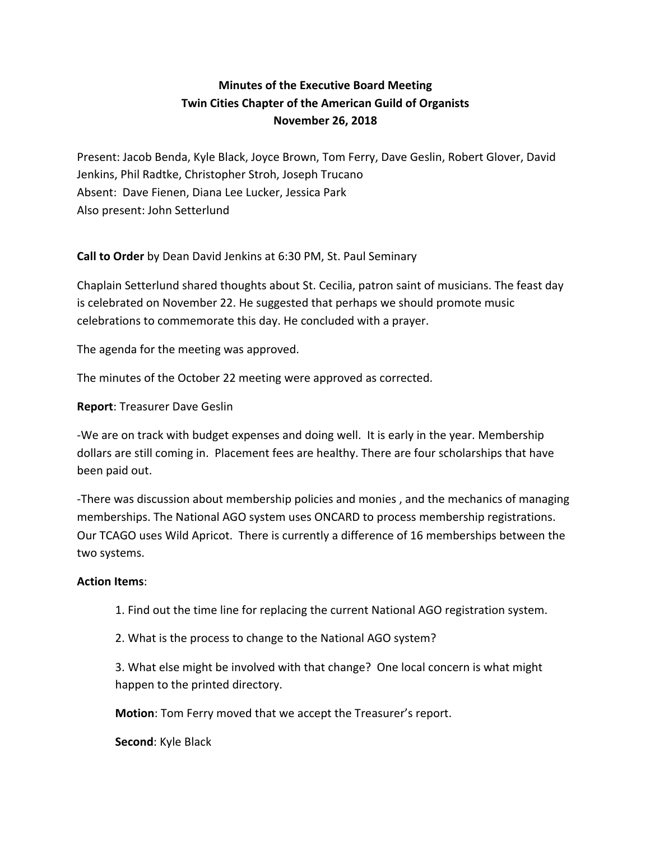# **Minutes of the Executive Board Meeting Twin Cities Chapter of the American Guild of Organists November 26, 2018**

Present: Jacob Benda, Kyle Black, Joyce Brown, Tom Ferry, Dave Geslin, Robert Glover, David Jenkins, Phil Radtke, Christopher Stroh, Joseph Trucano Absent: Dave Fienen, Diana Lee Lucker, Jessica Park Also present: John Setterlund

**Call to Order** by Dean David Jenkins at 6:30 PM, St. Paul Seminary

Chaplain Setterlund shared thoughts about St. Cecilia, patron saint of musicians. The feast day is celebrated on November 22. He suggested that perhaps we should promote music celebrations to commemorate this day. He concluded with a prayer.

The agenda for the meeting was approved.

The minutes of the October 22 meeting were approved as corrected.

**Report: Treasurer Dave Geslin** 

-We are on track with budget expenses and doing well. It is early in the year. Membership dollars are still coming in. Placement fees are healthy. There are four scholarships that have been paid out.

-There was discussion about membership policies and monies, and the mechanics of managing memberships. The National AGO system uses ONCARD to process membership registrations. Our TCAGO uses Wild Apricot. There is currently a difference of 16 memberships between the two systems.

#### **Action Items:**

- 1. Find out the time line for replacing the current National AGO registration system.
- 2. What is the process to change to the National AGO system?

3. What else might be involved with that change? One local concern is what might happen to the printed directory.

**Motion**: Tom Ferry moved that we accept the Treasurer's report.

**Second:** Kyle Black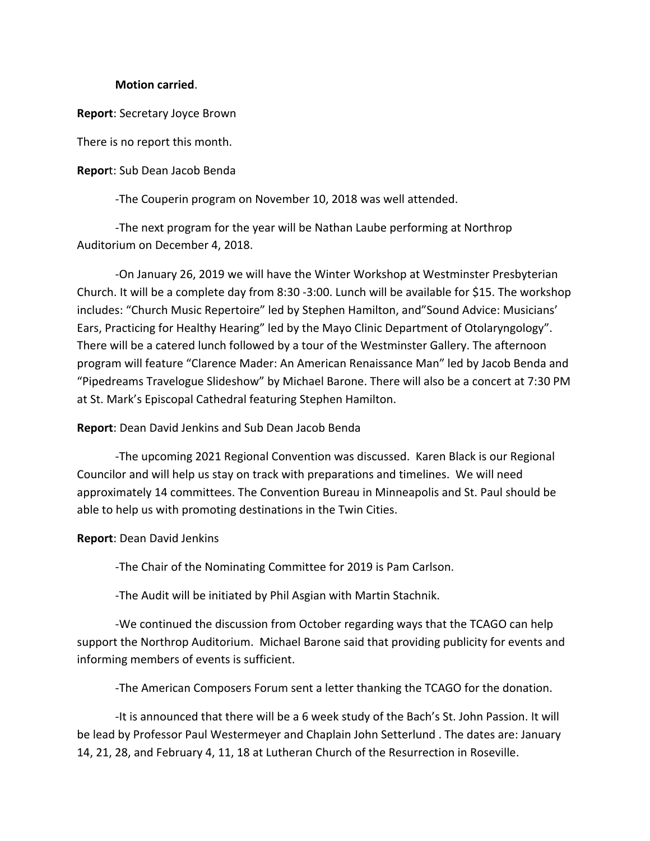### **Motion carried**.

**Report:** Secretary Joyce Brown

There is no report this month.

**Report:** Sub Dean Jacob Benda

-The Couperin program on November 10, 2018 was well attended.

-The next program for the year will be Nathan Laube performing at Northrop Auditorium on December 4, 2018.

-On January 26, 2019 we will have the Winter Workshop at Westminster Presbyterian Church. It will be a complete day from 8:30 -3:00. Lunch will be available for \$15. The workshop includes: "Church Music Repertoire" led by Stephen Hamilton, and"Sound Advice: Musicians' Ears, Practicing for Healthy Hearing" led by the Mayo Clinic Department of Otolaryngology". There will be a catered lunch followed by a tour of the Westminster Gallery. The afternoon program will feature "Clarence Mader: An American Renaissance Man" led by Jacob Benda and "Pipedreams Travelogue Slideshow" by Michael Barone. There will also be a concert at 7:30 PM at St. Mark's Episcopal Cathedral featuring Stephen Hamilton.

## **Report:** Dean David Jenkins and Sub Dean Jacob Benda

-The upcoming 2021 Regional Convention was discussed. Karen Black is our Regional Councilor and will help us stay on track with preparations and timelines. We will need approximately 14 committees. The Convention Bureau in Minneapolis and St. Paul should be able to help us with promoting destinations in the Twin Cities.

**Report:** Dean David Jenkins

-The Chair of the Nominating Committee for 2019 is Pam Carlson.

-The Audit will be initiated by Phil Asgian with Martin Stachnik.

-We continued the discussion from October regarding ways that the TCAGO can help support the Northrop Auditorium. Michael Barone said that providing publicity for events and informing members of events is sufficient.

-The American Composers Forum sent a letter thanking the TCAGO for the donation.

-It is announced that there will be a 6 week study of the Bach's St. John Passion. It will be lead by Professor Paul Westermeyer and Chaplain John Setterlund . The dates are: January 14, 21, 28, and February 4, 11, 18 at Lutheran Church of the Resurrection in Roseville.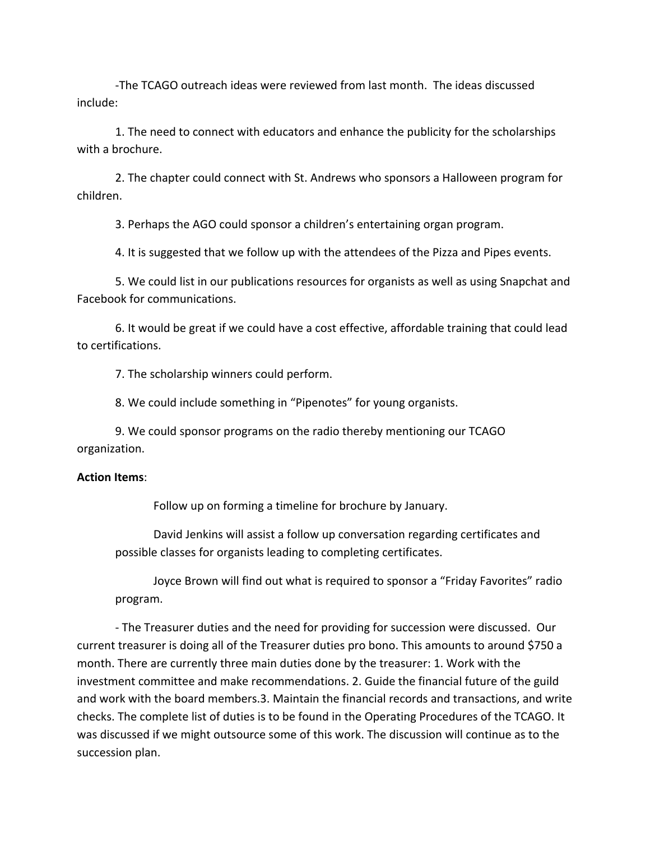-The TCAGO outreach ideas were reviewed from last month. The ideas discussed include:

1. The need to connect with educators and enhance the publicity for the scholarships with a brochure.

2. The chapter could connect with St. Andrews who sponsors a Halloween program for children.

3. Perhaps the AGO could sponsor a children's entertaining organ program.

4. It is suggested that we follow up with the attendees of the Pizza and Pipes events.

5. We could list in our publications resources for organists as well as using Snapchat and Facebook for communications.

6. It would be great if we could have a cost effective, affordable training that could lead to certifications.

7. The scholarship winners could perform.

8. We could include something in "Pipenotes" for young organists.

9. We could sponsor programs on the radio thereby mentioning our TCAGO organization.

#### **Action Items**:

Follow up on forming a timeline for brochure by January.

David Jenkins will assist a follow up conversation regarding certificates and possible classes for organists leading to completing certificates.

Joyce Brown will find out what is required to sponsor a "Friday Favorites" radio program. 

- The Treasurer duties and the need for providing for succession were discussed. Our current treasurer is doing all of the Treasurer duties pro bono. This amounts to around \$750 a month. There are currently three main duties done by the treasurer: 1. Work with the investment committee and make recommendations. 2. Guide the financial future of the guild and work with the board members.3. Maintain the financial records and transactions, and write checks. The complete list of duties is to be found in the Operating Procedures of the TCAGO. It was discussed if we might outsource some of this work. The discussion will continue as to the succession plan.